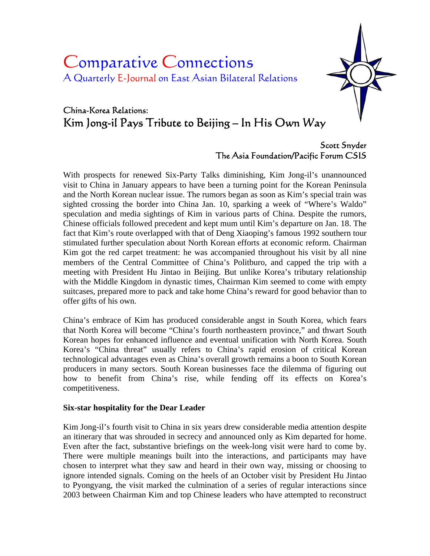# Comparative Connections A Quarterly E-Journal on East Asian Bilateral Relations



# China-Korea Relations: Kim Jong-il Pays Tribute to Beijing – In His Own Way

# Scott Snyder The Asia Foundation/Pacific Forum CSIS

With prospects for renewed Six-Party Talks diminishing, Kim Jong-il's unannounced visit to China in January appears to have been a turning point for the Korean Peninsula and the North Korean nuclear issue. The rumors began as soon as Kim's special train was sighted crossing the border into China Jan. 10, sparking a week of "Where's Waldo" speculation and media sightings of Kim in various parts of China. Despite the rumors, Chinese officials followed precedent and kept mum until Kim's departure on Jan. 18. The fact that Kim's route overlapped with that of Deng Xiaoping's famous 1992 southern tour stimulated further speculation about North Korean efforts at economic reform. Chairman Kim got the red carpet treatment: he was accompanied throughout his visit by all nine members of the Central Committee of China's Politburo, and capped the trip with a meeting with President Hu Jintao in Beijing. But unlike Korea's tributary relationship with the Middle Kingdom in dynastic times, Chairman Kim seemed to come with empty suitcases, prepared more to pack and take home China's reward for good behavior than to offer gifts of his own.

China's embrace of Kim has produced considerable angst in South Korea, which fears that North Korea will become "China's fourth northeastern province," and thwart South Korean hopes for enhanced influence and eventual unification with North Korea. South Korea's "China threat" usually refers to China's rapid erosion of critical Korean technological advantages even as China's overall growth remains a boon to South Korean producers in many sectors. South Korean businesses face the dilemma of figuring out how to benefit from China's rise, while fending off its effects on Korea's competitiveness.

### **Six-star hospitality for the Dear Leader**

Kim Jong-il's fourth visit to China in six years drew considerable media attention despite an itinerary that was shrouded in secrecy and announced only as Kim departed for home. Even after the fact, substantive briefings on the week-long visit were hard to come by. There were multiple meanings built into the interactions, and participants may have chosen to interpret what they saw and heard in their own way, missing or choosing to ignore intended signals. Coming on the heels of an October visit by President Hu Jintao to Pyongyang, the visit marked the culmination of a series of regular interactions since 2003 between Chairman Kim and top Chinese leaders who have attempted to reconstruct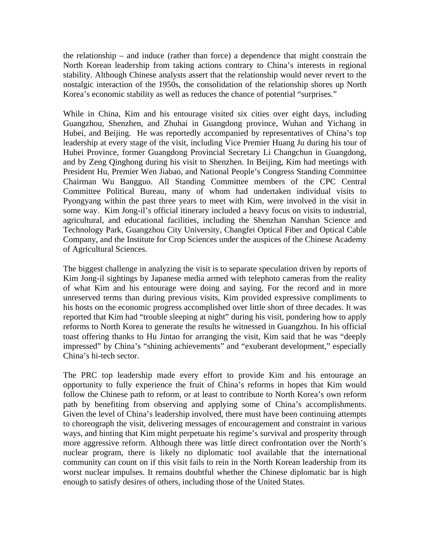the relationship – and induce (rather than force) a dependence that might constrain the North Korean leadership from taking actions contrary to China's interests in regional stability. Although Chinese analysts assert that the relationship would never revert to the nostalgic interaction of the 1950s, the consolidation of the relationship shores up North Korea's economic stability as well as reduces the chance of potential "surprises."

While in China, Kim and his entourage visited six cities over eight days, including Guangzhou, Shenzhen, and Zhuhai in Guangdong province, Wuhan and Yichang in Hubei, and Beijing. He was reportedly accompanied by representatives of China's top leadership at every stage of the visit, including Vice Premier Huang Ju during his tour of Hubei Province, former Guangdong Provincial Secretary Li Changchun in Guangdong, and by Zeng Qinghong during his visit to Shenzhen. In Beijing, Kim had meetings with President Hu, Premier Wen Jiabao, and National People's Congress Standing Committee Chairman Wu Bangguo. All Standing Committee members of the CPC Central Committee Political Bureau, many of whom had undertaken individual visits to Pyongyang within the past three years to meet with Kim, were involved in the visit in some way. Kim Jong-il's official itinerary included a heavy focus on visits to industrial, agricultural, and educational facilities, including the Shenzhan Nanshan Science and Technology Park, Guangzhou City University, Changfei Optical Fiber and Optical Cable Company, and the Institute for Crop Sciences under the auspices of the Chinese Academy of Agricultural Sciences.

The biggest challenge in analyzing the visit is to separate speculation driven by reports of Kim Jong-il sightings by Japanese media armed with telephoto cameras from the reality of what Kim and his entourage were doing and saying. For the record and in more unreserved terms than during previous visits, Kim provided expressive compliments to his hosts on the economic progress accomplished over little short of three decades. It was reported that Kim had "trouble sleeping at night" during his visit, pondering how to apply reforms to North Korea to generate the results he witnessed in Guangzhou. In his official toast offering thanks to Hu Jintao for arranging the visit, Kim said that he was "deeply impressed" by China's "shining achievements" and "exuberant development," especially China's hi-tech sector.

The PRC top leadership made every effort to provide Kim and his entourage an opportunity to fully experience the fruit of China's reforms in hopes that Kim would follow the Chinese path to reform, or at least to contribute to North Korea's own reform path by benefiting from observing and applying some of China's accomplishments. Given the level of China's leadership involved, there must have been continuing attempts to choreograph the visit, delivering messages of encouragement and constraint in various ways, and hinting that Kim might perpetuate his regime's survival and prosperity through more aggressive reform. Although there was little direct confrontation over the North's nuclear program, there is likely no diplomatic tool available that the international community can count on if this visit fails to rein in the North Korean leadership from its worst nuclear impulses. It remains doubtful whether the Chinese diplomatic bar is high enough to satisfy desires of others, including those of the United States.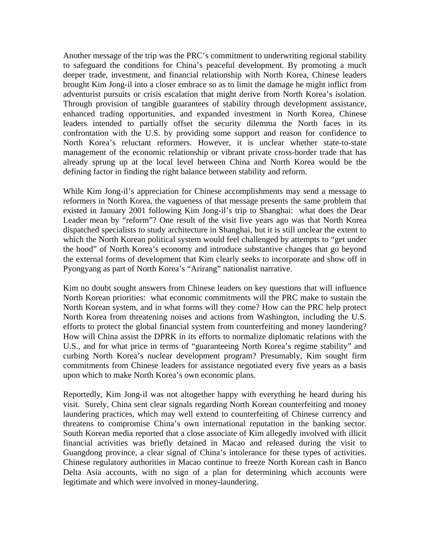Another message of the trip was the PRC's commitment to underwriting regional stability to safeguard the conditions for China's peaceful development. By promoting a much deeper trade, investment, and financial relationship with North Korea, Chinese leaders brought Kim Jong-il into a closer embrace so as to limit the damage he might inflict from adventurist pursuits or crisis escalation that might derive from North Korea's isolation. Through provision of tangible guarantees of stability through development assistance, enhanced trading opportunities, and expanded investment in North Korea, Chinese leaders intended to partially offset the security dilemma the North faces in its confrontation with the U.S. by providing some support and reason for confidence to North Korea's reluctant reformers. However, it is unclear whether state-to-state management of the economic relationship or vibrant private cross-border trade that has already sprung up at the local level between China and North Korea would be the defining factor in finding the right balance between stability and reform.

While Kim Jong-il's appreciation for Chinese accomplishments may send a message to reformers in North Korea, the vagueness of that message presents the same problem that existed in January 2001 following Kim Jong-il's trip to Shanghai: what does the Dear Leader mean by "reform"? One result of the visit five years ago was that North Korea dispatched specialists to study architecture in Shanghai, but it is still unclear the extent to which the North Korean political system would feel challenged by attempts to "get under the hood" of North Korea's economy and introduce substantive changes that go beyond the external forms of development that Kim clearly seeks to incorporate and show off in Pyongyang as part of North Korea's "Arirang" nationalist narrative.

Kim no doubt sought answers from Chinese leaders on key questions that will influence North Korean priorities: what economic commitments will the PRC make to sustain the North Korean system, and in what forms will they come? How can the PRC help protect North Korea from threatening noises and actions from Washington, including the U.S. efforts to protect the global financial system from counterfeiting and money laundering? How will China assist the DPRK in its efforts to normalize diplomatic relations with the U.S., and for what price in terms of "guaranteeing North Korea's regime stability" and curbing North Korea's nuclear development program? Presumably, Kim sought firm commitments from Chinese leaders for assistance negotiated every five years as a basis upon which to make North Korea's own economic plans.

Reportedly, Kim Jong-il was not altogether happy with everything he heard during his visit. Surely, China sent clear signals regarding North Korean counterfeiting and money laundering practices, which may well extend to counterfeiting of Chinese currency and threatens to compromise China's own international reputation in the banking sector. South Korean media reported that a close associate of Kim allegedly involved with illicit financial activities was briefly detained in Macao and released during the visit to Guangdong province, a clear signal of China's intolerance for these types of activities. Chinese regulatory authorities in Macao continue to freeze North Korean cash in Banco Delta Asia accounts, with no sign of a plan for determining which accounts were legitimate and which were involved in money-laundering.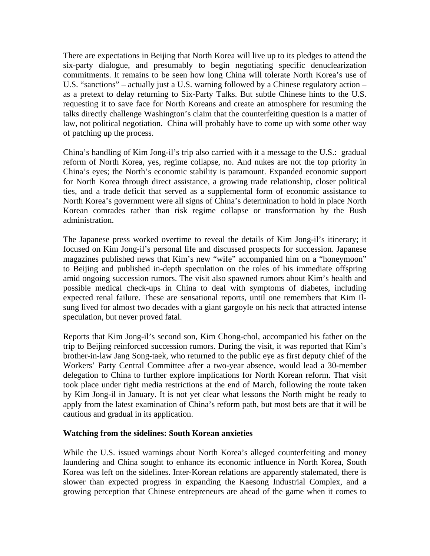There are expectations in Beijing that North Korea will live up to its pledges to attend the six-party dialogue, and presumably to begin negotiating specific denuclearization commitments. It remains to be seen how long China will tolerate North Korea's use of U.S. "sanctions" – actually just a U.S. warning followed by a Chinese regulatory action – as a pretext to delay returning to Six-Party Talks. But subtle Chinese hints to the U.S. requesting it to save face for North Koreans and create an atmosphere for resuming the talks directly challenge Washington's claim that the counterfeiting question is a matter of law, not political negotiation. China will probably have to come up with some other way of patching up the process.

China's handling of Kim Jong-il's trip also carried with it a message to the U.S.: gradual reform of North Korea, yes, regime collapse, no. And nukes are not the top priority in China's eyes; the North's economic stability is paramount. Expanded economic support for North Korea through direct assistance, a growing trade relationship, closer political ties, and a trade deficit that served as a supplemental form of economic assistance to North Korea's government were all signs of China's determination to hold in place North Korean comrades rather than risk regime collapse or transformation by the Bush administration.

The Japanese press worked overtime to reveal the details of Kim Jong-il's itinerary; it focused on Kim Jong-il's personal life and discussed prospects for succession. Japanese magazines published news that Kim's new "wife" accompanied him on a "honeymoon" to Beijing and published in-depth speculation on the roles of his immediate offspring amid ongoing succession rumors. The visit also spawned rumors about Kim's health and possible medical check-ups in China to deal with symptoms of diabetes, including expected renal failure. These are sensational reports, until one remembers that Kim Ilsung lived for almost two decades with a giant gargoyle on his neck that attracted intense speculation, but never proved fatal.

Reports that Kim Jong-il's second son, Kim Chong-chol, accompanied his father on the trip to Beijing reinforced succession rumors. During the visit, it was reported that Kim's brother-in-law Jang Song-taek, who returned to the public eye as first deputy chief of the Workers' Party Central Committee after a two-year absence, would lead a 30-member delegation to China to further explore implications for North Korean reform. That visit took place under tight media restrictions at the end of March, following the route taken by Kim Jong-il in January. It is not yet clear what lessons the North might be ready to apply from the latest examination of China's reform path, but most bets are that it will be cautious and gradual in its application.

#### **Watching from the sidelines: South Korean anxieties**

While the U.S. issued warnings about North Korea's alleged counterfeiting and money laundering and China sought to enhance its economic influence in North Korea, South Korea was left on the sidelines. Inter-Korean relations are apparently stalemated, there is slower than expected progress in expanding the Kaesong Industrial Complex, and a growing perception that Chinese entrepreneurs are ahead of the game when it comes to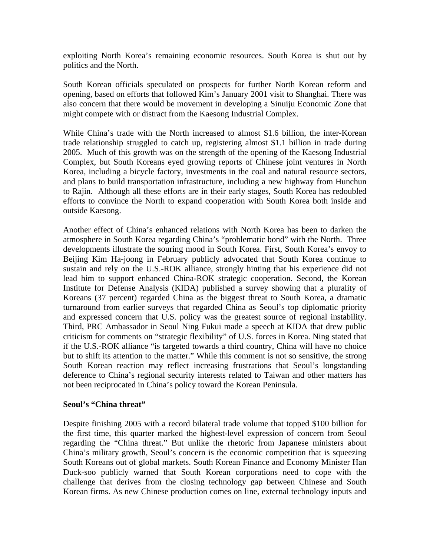exploiting North Korea's remaining economic resources. South Korea is shut out by politics and the North.

South Korean officials speculated on prospects for further North Korean reform and opening, based on efforts that followed Kim's January 2001 visit to Shanghai. There was also concern that there would be movement in developing a Sinuiju Economic Zone that might compete with or distract from the Kaesong Industrial Complex.

While China's trade with the North increased to almost \$1.6 billion, the inter-Korean trade relationship struggled to catch up, registering almost \$1.1 billion in trade during 2005. Much of this growth was on the strength of the opening of the Kaesong Industrial Complex, but South Koreans eyed growing reports of Chinese joint ventures in North Korea, including a bicycle factory, investments in the coal and natural resource sectors, and plans to build transportation infrastructure, including a new highway from Hunchun to Rajin. Although all these efforts are in their early stages, South Korea has redoubled efforts to convince the North to expand cooperation with South Korea both inside and outside Kaesong.

Another effect of China's enhanced relations with North Korea has been to darken the atmosphere in South Korea regarding China's "problematic bond" with the North. Three developments illustrate the souring mood in South Korea. First, South Korea's envoy to Beijing Kim Ha-joong in February publicly advocated that South Korea continue to sustain and rely on the U.S.-ROK alliance, strongly hinting that his experience did not lead him to support enhanced China-ROK strategic cooperation. Second, the Korean Institute for Defense Analysis (KIDA) published a survey showing that a plurality of Koreans (37 percent) regarded China as the biggest threat to South Korea, a dramatic turnaround from earlier surveys that regarded China as Seoul's top diplomatic priority and expressed concern that U.S. policy was the greatest source of regional instability. Third, PRC Ambassador in Seoul Ning Fukui made a speech at KIDA that drew public criticism for comments on "strategic flexibility" of U.S. forces in Korea. Ning stated that if the U.S.-ROK alliance "is targeted towards a third country, China will have no choice but to shift its attention to the matter." While this comment is not so sensitive, the strong South Korean reaction may reflect increasing frustrations that Seoul's longstanding deference to China's regional security interests related to Taiwan and other matters has not been reciprocated in China's policy toward the Korean Peninsula.

#### **Seoul's "China threat"**

Despite finishing 2005 with a record bilateral trade volume that topped \$100 billion for the first time, this quarter marked the highest-level expression of concern from Seoul regarding the "China threat." But unlike the rhetoric from Japanese ministers about China's military growth, Seoul's concern is the economic competition that is squeezing South Koreans out of global markets. South Korean Finance and Economy Minister Han Duck-soo publicly warned that South Korean corporations need to cope with the challenge that derives from the closing technology gap between Chinese and South Korean firms. As new Chinese production comes on line, external technology inputs and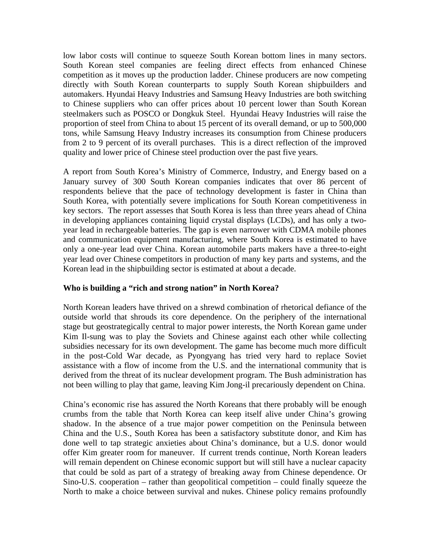low labor costs will continue to squeeze South Korean bottom lines in many sectors. South Korean steel companies are feeling direct effects from enhanced Chinese competition as it moves up the production ladder. Chinese producers are now competing directly with South Korean counterparts to supply South Korean shipbuilders and automakers. Hyundai Heavy Industries and Samsung Heavy Industries are both switching to Chinese suppliers who can offer prices about 10 percent lower than South Korean steelmakers such as POSCO or Dongkuk Steel. Hyundai Heavy Industries will raise the proportion of steel from China to about 15 percent of its overall demand, or up to 500,000 tons, while Samsung Heavy Industry increases its consumption from Chinese producers from 2 to 9 percent of its overall purchases. This is a direct reflection of the improved quality and lower price of Chinese steel production over the past five years.

A report from South Korea's Ministry of Commerce, Industry, and Energy based on a January survey of 300 South Korean companies indicates that over 86 percent of respondents believe that the pace of technology development is faster in China than South Korea, with potentially severe implications for South Korean competitiveness in key sectors. The report assesses that South Korea is less than three years ahead of China in developing appliances containing liquid crystal displays (LCDs), and has only a twoyear lead in rechargeable batteries. The gap is even narrower with CDMA mobile phones and communication equipment manufacturing, where South Korea is estimated to have only a one-year lead over China. Korean automobile parts makers have a three-to-eight year lead over Chinese competitors in production of many key parts and systems, and the Korean lead in the shipbuilding sector is estimated at about a decade.

#### **Who is building a "rich and strong nation" in North Korea?**

North Korean leaders have thrived on a shrewd combination of rhetorical defiance of the outside world that shrouds its core dependence. On the periphery of the international stage but geostrategically central to major power interests, the North Korean game under Kim Il-sung was to play the Soviets and Chinese against each other while collecting subsidies necessary for its own development. The game has become much more difficult in the post-Cold War decade, as Pyongyang has tried very hard to replace Soviet assistance with a flow of income from the U.S. and the international community that is derived from the threat of its nuclear development program. The Bush administration has not been willing to play that game, leaving Kim Jong-il precariously dependent on China.

China's economic rise has assured the North Koreans that there probably will be enough crumbs from the table that North Korea can keep itself alive under China's growing shadow. In the absence of a true major power competition on the Peninsula between China and the U.S., South Korea has been a satisfactory substitute donor, and Kim has done well to tap strategic anxieties about China's dominance, but a U.S. donor would offer Kim greater room for maneuver. If current trends continue, North Korean leaders will remain dependent on Chinese economic support but will still have a nuclear capacity that could be sold as part of a strategy of breaking away from Chinese dependence. Or Sino-U.S. cooperation – rather than geopolitical competition – could finally squeeze the North to make a choice between survival and nukes. Chinese policy remains profoundly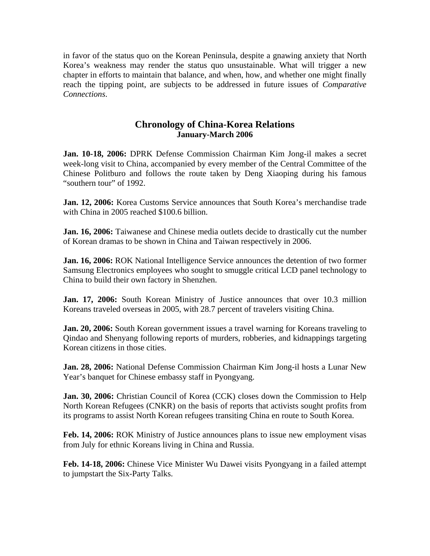in favor of the status quo on the Korean Peninsula, despite a gnawing anxiety that North Korea's weakness may render the status quo unsustainable. What will trigger a new chapter in efforts to maintain that balance, and when, how, and whether one might finally reach the tipping point, are subjects to be addressed in future issues of *Comparative Connections*.

## **Chronology of China-Korea Relations January-March 2006**

**Jan. 10-18, 2006:** DPRK Defense Commission Chairman Kim Jong-il makes a secret week-long visit to China, accompanied by every member of the Central Committee of the Chinese Politburo and follows the route taken by Deng Xiaoping during his famous "southern tour" of 1992.

**Jan. 12, 2006:** Korea Customs Service announces that South Korea's merchandise trade with China in 2005 reached \$100.6 billion.

**Jan. 16, 2006:** Taiwanese and Chinese media outlets decide to drastically cut the number of Korean dramas to be shown in China and Taiwan respectively in 2006.

**Jan. 16, 2006:** ROK National Intelligence Service announces the detention of two former Samsung Electronics employees who sought to smuggle critical LCD panel technology to China to build their own factory in Shenzhen.

**Jan. 17, 2006:** South Korean Ministry of Justice announces that over 10.3 million Koreans traveled overseas in 2005, with 28.7 percent of travelers visiting China.

**Jan. 20, 2006:** South Korean government issues a travel warning for Koreans traveling to Qindao and Shenyang following reports of murders, robberies, and kidnappings targeting Korean citizens in those cities.

**Jan. 28, 2006:** National Defense Commission Chairman Kim Jong-il hosts a Lunar New Year's banquet for Chinese embassy staff in Pyongyang.

**Jan. 30, 2006:** Christian Council of Korea (CCK) closes down the Commission to Help North Korean Refugees (CNKR) on the basis of reports that activists sought profits from its programs to assist North Korean refugees transiting China en route to South Korea.

**Feb. 14, 2006:** ROK Ministry of Justice announces plans to issue new employment visas from July for ethnic Koreans living in China and Russia.

**Feb. 14-18, 2006:** Chinese Vice Minister Wu Dawei visits Pyongyang in a failed attempt to jumpstart the Six-Party Talks.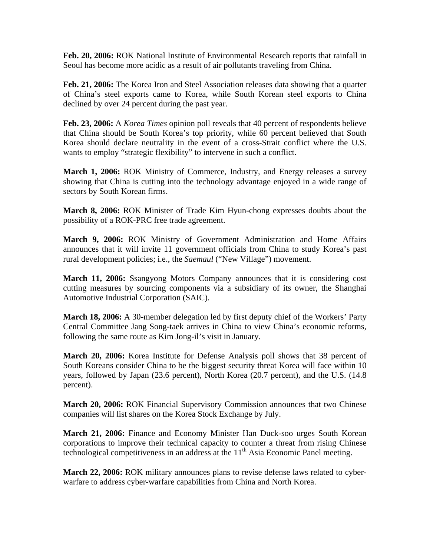**Feb. 20, 2006:** ROK National Institute of Environmental Research reports that rainfall in Seoul has become more acidic as a result of air pollutants traveling from China.

**Feb. 21, 2006:** The Korea Iron and Steel Association releases data showing that a quarter of China's steel exports came to Korea, while South Korean steel exports to China declined by over 24 percent during the past year.

**Feb. 23, 2006:** A *Korea Times* opinion poll reveals that 40 percent of respondents believe that China should be South Korea's top priority, while 60 percent believed that South Korea should declare neutrality in the event of a cross-Strait conflict where the U.S. wants to employ "strategic flexibility" to intervene in such a conflict.

**March 1, 2006:** ROK Ministry of Commerce, Industry, and Energy releases a survey showing that China is cutting into the technology advantage enjoyed in a wide range of sectors by South Korean firms.

**March 8, 2006:** ROK Minister of Trade Kim Hyun-chong expresses doubts about the possibility of a ROK-PRC free trade agreement.

**March 9, 2006:** ROK Ministry of Government Administration and Home Affairs announces that it will invite 11 government officials from China to study Korea's past rural development policies; i.e., the *Saemaul* ("New Village") movement.

**March 11, 2006:** Ssangyong Motors Company announces that it is considering cost cutting measures by sourcing components via a subsidiary of its owner, the Shanghai Automotive Industrial Corporation (SAIC).

**March 18, 2006:** A 30-member delegation led by first deputy chief of the Workers' Party Central Committee Jang Song-taek arrives in China to view China's economic reforms, following the same route as Kim Jong-il's visit in January.

**March 20, 2006:** Korea Institute for Defense Analysis poll shows that 38 percent of South Koreans consider China to be the biggest security threat Korea will face within 10 years, followed by Japan (23.6 percent), North Korea (20.7 percent), and the U.S. (14.8 percent).

**March 20, 2006:** ROK Financial Supervisory Commission announces that two Chinese companies will list shares on the Korea Stock Exchange by July.

**March 21, 2006:** Finance and Economy Minister Han Duck-soo urges South Korean corporations to improve their technical capacity to counter a threat from rising Chinese technological competitiveness in an address at the  $11<sup>th</sup>$  Asia Economic Panel meeting.

**March 22, 2006:** ROK military announces plans to revise defense laws related to cyberwarfare to address cyber-warfare capabilities from China and North Korea.